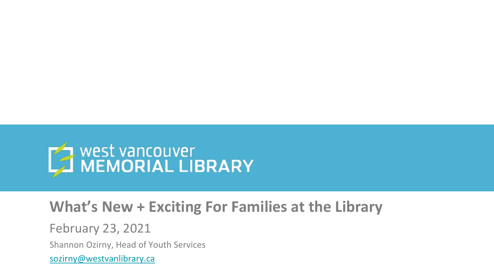

#### **What's New + Exciting For Families at the Library**

February 23, 2021

Shannon Ozirny, Head of Youth Services

[sozirny@westvanlibrary.ca](mailto:sozirny@westvanlibrary.ca)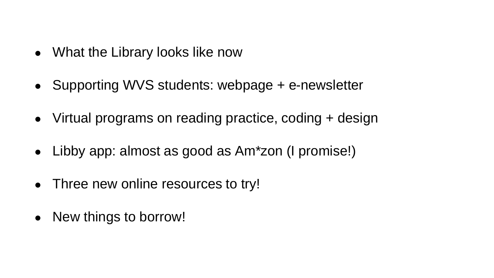- What the Library looks like now
- Supporting WVS students: webpage + e-newsletter
- Virtual programs on reading practice, coding + design
- Libby app: almost as good as Am\*zon (I promise!)
- Three new online resources to try!
- New things to borrow!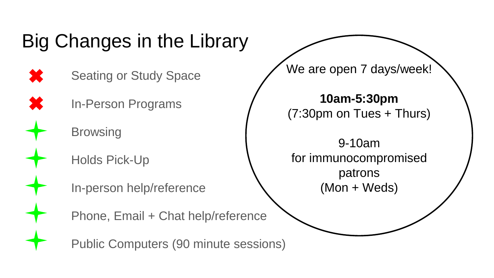# Big Changes in the Library

- Seating or Study Space
	- In-Person Programs
		- **Browsing**
		- Holds Pick-Up
		- In-person help/reference
		- Phone, Email + Chat help/reference
		- Public Computers (90 minute sessions)
- We are open 7 days/week!
- **10am-5:30pm** (7:30pm on Tues + Thurs)
- 9-10am for immunocompromised patrons (Mon + Weds)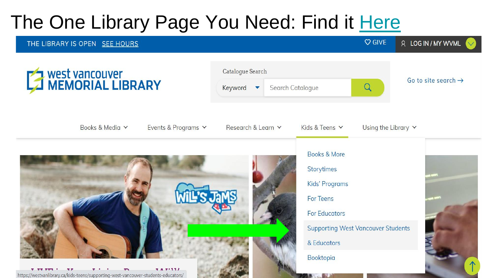# The One Library Page You Need: Find it [Here](https://westvanlibrary.ca/kids-teens/supporting-west-vancouver-students-educators/)

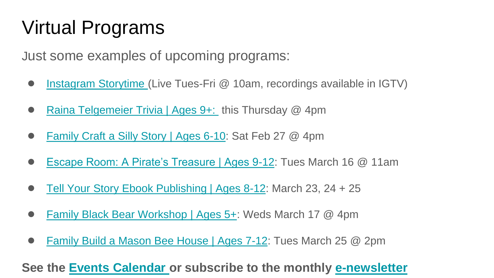# Virtual Programs

Just some examples of upcoming programs:

- [Instagram Storytime](https://westvanlibrary.ca/events-programs/category/books-reading-writing/storytime/2021-02/?tribe__ecp_custom_4=Early+Years) (Live Tues-Fri @ 10am, recordings available in IGTV)
- [Raina Telgemeier Trivia | Ages 9+:](https://westvanlibrary.ca/event/booktopia-raina-telgemeier-trivia/) this Thursday @ 4pm
- [Family Craft a Silly Story | Ages 6-10:](https://westvanlibrary.ca/event/booktopia-family-craft-a-silly-story-ages-7-10/) Sat Feb 27 @ 4pm
- [Escape Room: A Pirate's Treasure | Ages 9-12:](https://westvanlibrary.ca/event/escape-room-a-pirates-treasure-ages-9-12-virtual/) Tues March 16 @ 11am
- [Tell Your Story Ebook Publishing | Ages 8-12](https://westvanlibrary.ca/event/tell-your-story-anthology-suddenly-strange-ages-8-12-virtual/2021-03-23/): March 23, 24 + 25
- [Family Black Bear Workshop | Ages 5+](https://westvanlibrary.ca/event/black-bears-workshop-ages-5-virtual/): Weds March 17 @ 4pm
- [Family Build a Mason Bee House | Ages 7-12](https://westvanlibrary.ca/event/family-build-a-mason-bee-house-workshop-ages-7-12-virtual/): Tues March 25 @ 2pm

#### **See the [Events Calendar o](https://westvanlibrary.ca/events-programs/month/2021-02/?tribe__ecp_custom_4=Kids%2CTeens)r subscribe to the monthly [e-newsletter](https://westvanlibrary.ca/e-newsletter/)**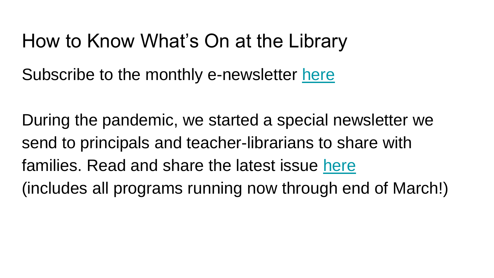#### How to Know What's On at the Library

Subscribe to the monthly e-newsletter [here](https://westvanlibrary.ca/e-newsletter/)

During the pandemic, we started a special newsletter we send to principals and teacher-librarians to share with families. Read and share the latest issue [here](https://wvmlbc.patronpoint.com/email/preview/42) (includes all programs running now through end of March!)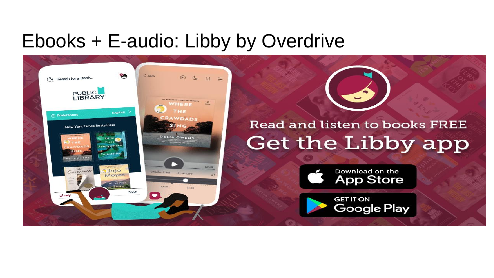### Ebooks + E-audio: Libby by Overdrive



#### Read and listen to books FREE Get the Libby app



**GET IT ON** Google Play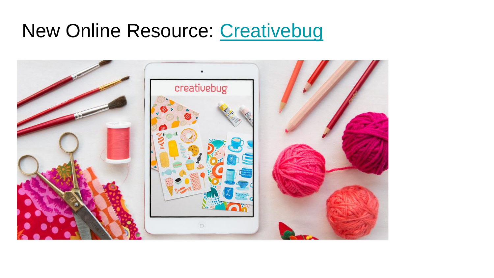### New Online Resource: [Creativebug](https://westvanlibrary.ca/accessing-creativebug/)

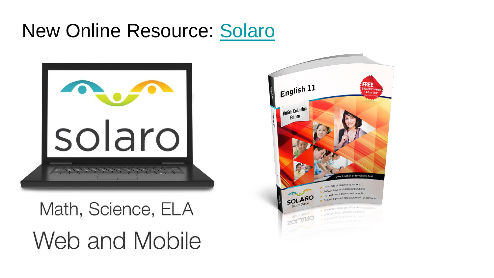## New Online Resource: [Solaro](https://libraries.solaro.com/WESTVAN)



# Math, Science, ELA Web and Mobile

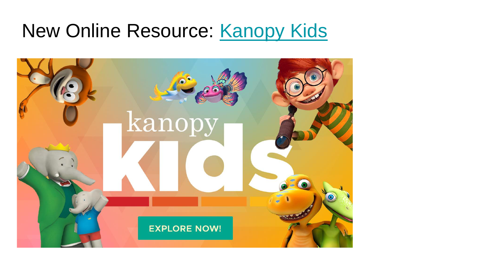### New Online Resource: [Kanopy Kids](https://westvanlibrary.ca/accessing-kanopy-kids/)

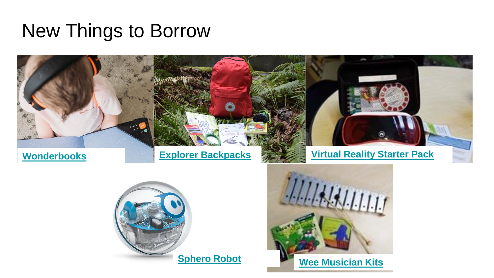#### New Things to Borrow

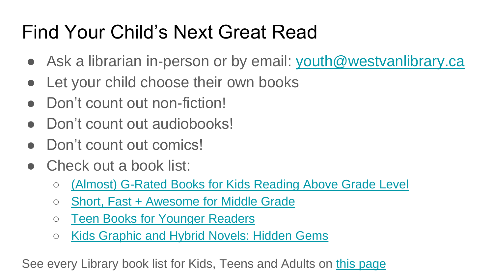# Find Your Child's Next Great Read

- Ask a librarian in-person or by email: [youth@westvanlibrary.ca](mailto:youth@westvanlibrary.ca)
- Let your child choose their own books
- Don't count out non-fiction!
- Don't count out audiobooks!
- Don't count out comics!
- Check out a book list:
	- [\(Almost\) G-Rated Books for Kids Reading Above Grade Level](https://westvanlibrary.bibliocommons.com/list/share/161293473_wvmlyouthlibrarian/1026648997_(almost)_g-rated_books_for_kids_reading_above_grade_level)
	- [Short, Fast + Awesome for Middle Grade](https://westvanlibrary.bibliocommons.com/list/share/161293473_wvmlyouthlibrarian/1688508609_short,_fast_awesome_for_middle_grade)
	- [Teen Books for Younger Readers](https://westvanlibrary.bibliocommons.com/list/share/161293473_wvmlyouthlibrarian/1688534339_teen_books_for_younger_readers)
	- [Kids Graphic and Hybrid Novels: Hidden Gems](https://westvanlibrary.bibliocommons.com/list/share/161293473_wvmlyouthlibrarian/1688484369_kids_graphic_hybrid_novels_hidden_gems)

See every Library book list for Kids, Teens and Adults on [this page](https://westvanlibrary.bibliocommons.com/explore/featured_lists/staff_picks)